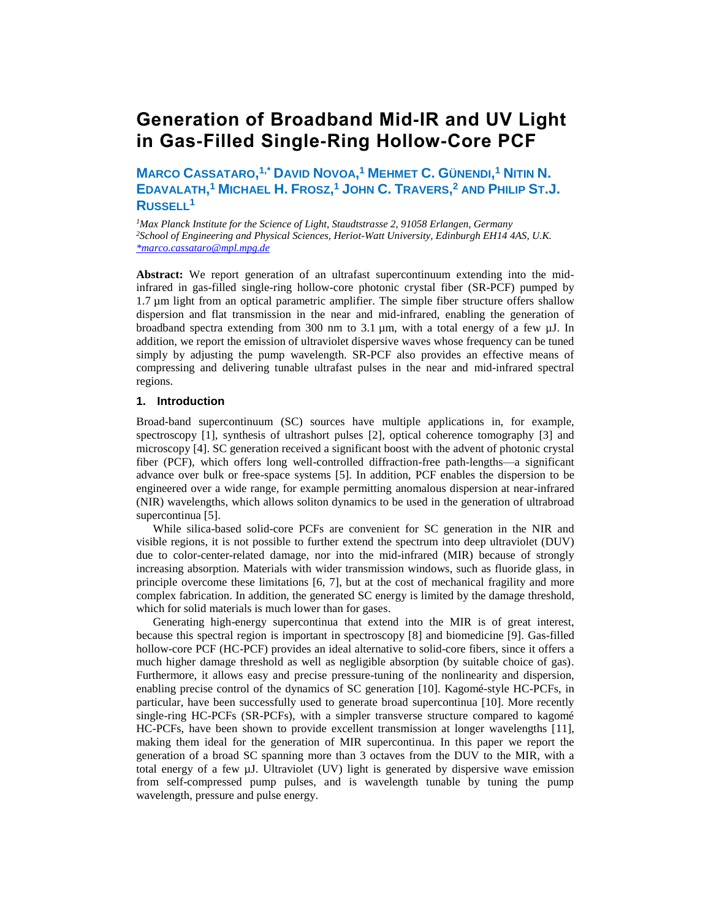# **Generation of Broadband Mid-IR and UV Light in Gas-Filled Single-Ring Hollow-Core PCF**

**MARCO CASSATARO, 1,\* DAVID NOVOA, <sup>1</sup> MEHMET C. GÜNENDI, <sup>1</sup> NITIN N.** EDAVALATH,<sup>1</sup> MICHAEL H. FROSZ,<sup>1</sup> JOHN C. TRAVERS,<sup>2</sup> AND PHILIP ST.J. **RUSSELL<sup>1</sup>**

*<sup>1</sup>Max Planck Institute for the Science of Light, Staudtstrasse 2, 91058 Erlangen, Germany <sup>2</sup>School of Engineering and Physical Sciences, Heriot-Watt University, Edinburgh EH14 4AS, U.K. [\\*marco.cassataro@mpl.mpg.de](mailto:*marco.cassataro@mpl.mpg.de)*

**Abstract:** We report generation of an ultrafast supercontinuum extending into the midinfrared in gas-filled single-ring hollow-core photonic crystal fiber (SR-PCF) pumped by 1.7 µm light from an optical parametric amplifier. The simple fiber structure offers shallow dispersion and flat transmission in the near and mid-infrared, enabling the generation of broadband spectra extending from 300 nm to 3.1  $\mu$ m, with a total energy of a few  $\mu$ J. In addition, we report the emission of ultraviolet dispersive waves whose frequency can be tuned simply by adjusting the pump wavelength. SR-PCF also provides an effective means of compressing and delivering tunable ultrafast pulses in the near and mid-infrared spectral regions.

# **1. Introduction**

Broad-band supercontinuum (SC) sources have multiple applications in, for example, spectroscopy [1], synthesis of ultrashort pulses [2], optical coherence tomography [3] and microscopy [4]. SC generation received a significant boost with the advent of photonic crystal fiber (PCF), which offers long well-controlled diffraction-free path-lengths—a significant advance over bulk or free-space systems [5]. In addition, PCF enables the dispersion to be engineered over a wide range, for example permitting anomalous dispersion at near-infrared (NIR) wavelengths, which allows soliton dynamics to be used in the generation of ultrabroad supercontinua [5].

While silica-based solid-core PCFs are convenient for SC generation in the NIR and visible regions, it is not possible to further extend the spectrum into deep ultraviolet (DUV) due to color-center-related damage, nor into the mid-infrared (MIR) because of strongly increasing absorption. Materials with wider transmission windows, such as fluoride glass, in principle overcome these limitations [6, 7], but at the cost of mechanical fragility and more complex fabrication. In addition, the generated SC energy is limited by the damage threshold, which for solid materials is much lower than for gases.

Generating high-energy supercontinua that extend into the MIR is of great interest, because this spectral region is important in spectroscopy [8] and biomedicine [9]. Gas-filled hollow-core PCF (HC-PCF) provides an ideal alternative to solid-core fibers, since it offers a much higher damage threshold as well as negligible absorption (by suitable choice of gas). Furthermore, it allows easy and precise pressure-tuning of the nonlinearity and dispersion, enabling precise control of the dynamics of SC generation [10]. Kagomé-style HC-PCFs, in particular, have been successfully used to generate broad supercontinua [10]. More recently single-ring HC-PCFs (SR-PCFs), with a simpler transverse structure compared to kagomé HC-PCFs, have been shown to provide excellent transmission at longer wavelengths [11], making them ideal for the generation of MIR supercontinua. In this paper we report the generation of a broad SC spanning more than 3 octaves from the DUV to the MIR, with a total energy of a few µJ. Ultraviolet (UV) light is generated by dispersive wave emission from self-compressed pump pulses, and is wavelength tunable by tuning the pump wavelength, pressure and pulse energy.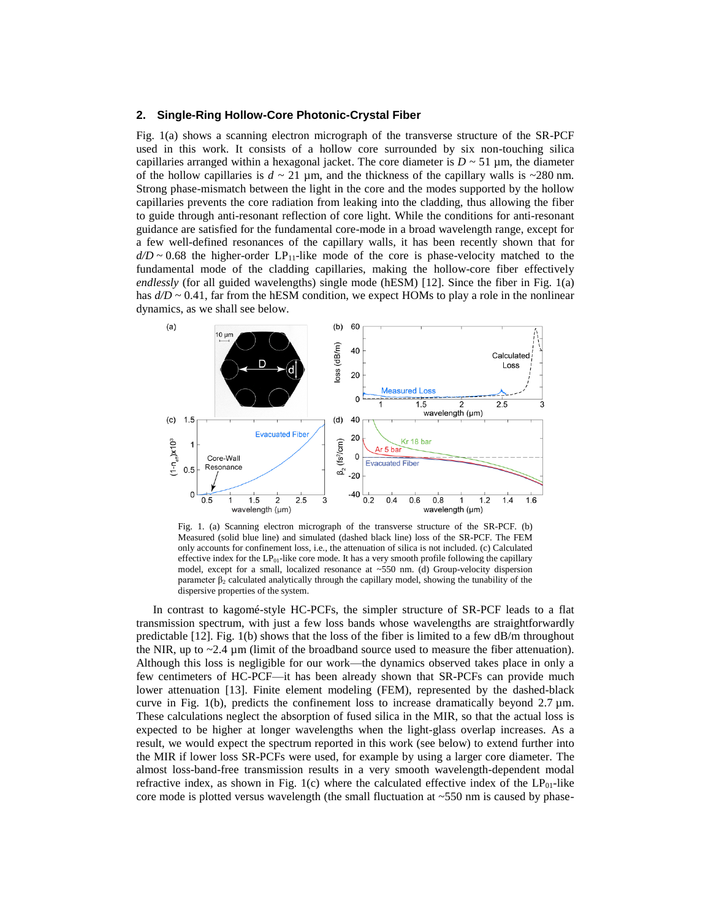## **2. Single-Ring Hollow-Core Photonic-Crystal Fiber**

Fig. 1(a) shows a scanning electron micrograph of the transverse structure of the SR-PCF used in this work. It consists of a hollow core surrounded by six non-touching silica capillaries arranged within a hexagonal jacket. The core diameter is  $D \sim 51 \,\mu$ m, the diameter of the hollow capillaries is  $d \sim 21 \,\mu$ m, and the thickness of the capillary walls is  $\sim 280 \,\text{nm}$ . Strong phase-mismatch between the light in the core and the modes supported by the hollow capillaries prevents the core radiation from leaking into the cladding, thus allowing the fiber to guide through anti-resonant reflection of core light. While the conditions for anti-resonant guidance are satisfied for the fundamental core-mode in a broad wavelength range, except for a few well-defined resonances of the capillary walls, it has been recently shown that for  $d/D \sim 0.68$  the higher-order LP<sub>11</sub>-like mode of the core is phase-velocity matched to the fundamental mode of the cladding capillaries, making the hollow-core fiber effectively *endlessly* (for all guided wavelengths) single mode (hESM) [12]. Since the fiber in Fig. 1(a) has  $d/D \sim 0.41$ , far from the hESM condition, we expect HOMs to play a role in the nonlinear dynamics, as we shall see below.



Fig. 1. (a) Scanning electron micrograph of the transverse structure of the SR-PCF. (b) Measured (solid blue line) and simulated (dashed black line) loss of the SR-PCF. The FEM only accounts for confinement loss, i.e., the attenuation of silica is not included. (c) Calculated effective index for the LP<sub>01</sub>-like core mode. It has a very smooth profile following the capillary model, except for a small, localized resonance at ~550 nm. (d) Group-velocity dispersion parameter  $β<sub>2</sub>$  calculated analytically through the capillary model, showing the tunability of the dispersive properties of the system.

In contrast to kagomé-style HC-PCFs, the simpler structure of SR-PCF leads to a flat transmission spectrum, with just a few loss bands whose wavelengths are straightforwardly predictable [12]. Fig. 1(b) shows that the loss of the fiber is limited to a few dB/m throughout the NIR, up to  $\sim$  2.4 µm (limit of the broadband source used to measure the fiber attenuation). Although this loss is negligible for our work—the dynamics observed takes place in only a few centimeters of HC-PCF—it has been already shown that SR-PCFs can provide much lower attenuation [13]. Finite element modeling (FEM), represented by the dashed-black curve in Fig. 1(b), predicts the confinement loss to increase dramatically beyond  $2.7 \mu m$ . These calculations neglect the absorption of fused silica in the MIR, so that the actual loss is expected to be higher at longer wavelengths when the light-glass overlap increases. As a result, we would expect the spectrum reported in this work (see below) to extend further into the MIR if lower loss SR-PCFs were used, for example by using a larger core diameter. The almost loss-band-free transmission results in a very smooth wavelength-dependent modal refractive index, as shown in Fig. 1(c) where the calculated effective index of the  $LP_{01}$ -like core mode is plotted versus wavelength (the small fluctuation at  $~550$  nm is caused by phase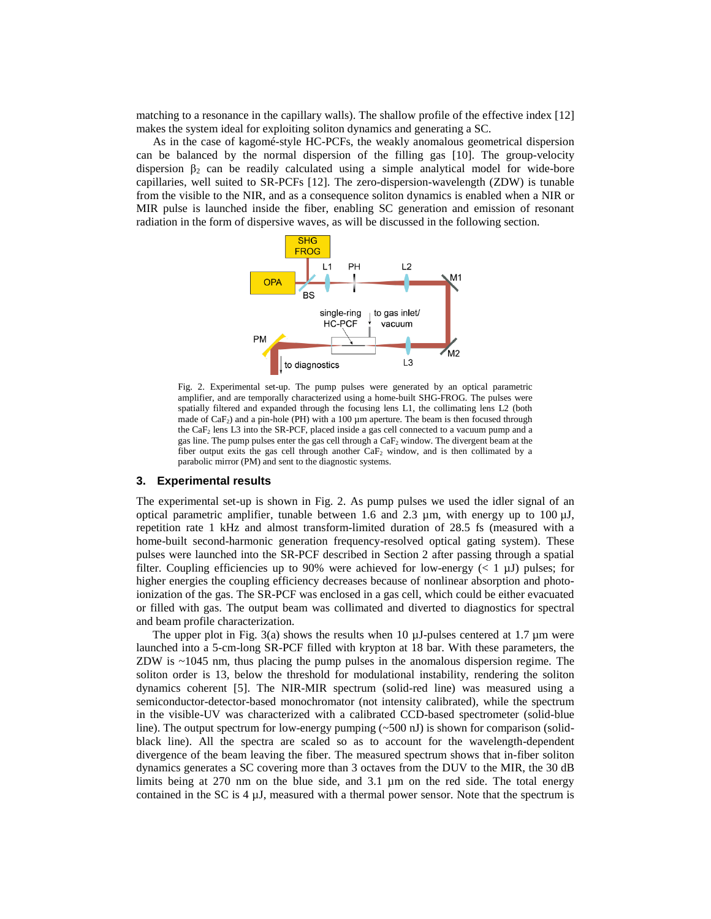matching to a resonance in the capillary walls). The shallow profile of the effective index [12] makes the system ideal for exploiting soliton dynamics and generating a SC.

As in the case of kagomé-style HC-PCFs, the weakly anomalous geometrical dispersion can be balanced by the normal dispersion of the filling gas [10]. The group-velocity dispersion  $\beta_2$  can be readily calculated using a simple analytical model for wide-bore capillaries, well suited to SR-PCFs [12]. The zero-dispersion-wavelength (ZDW) is tunable from the visible to the NIR, and as a consequence soliton dynamics is enabled when a NIR or MIR pulse is launched inside the fiber, enabling SC generation and emission of resonant radiation in the form of dispersive waves, as will be discussed in the following section.



Fig. 2. Experimental set-up. The pump pulses were generated by an optical parametric amplifier, and are temporally characterized using a home-built SHG-FROG. The pulses were spatially filtered and expanded through the focusing lens L1, the collimating lens L2 (both made of  $CaF<sub>2</sub>$ ) and a pin-hole (PH) with a 100  $\mu$ m aperture. The beam is then focused through the CaF<sup>2</sup> lens L3 into the SR-PCF, placed inside a gas cell connected to a vacuum pump and a gas line. The pump pulses enter the gas cell through a CaF<sub>2</sub> window. The divergent beam at the fiber output exits the gas cell through another  $CaF<sub>2</sub>$  window, and is then collimated by a parabolic mirror (PM) and sent to the diagnostic systems.

#### **3. Experimental results**

The experimental set-up is shown in Fig. 2. As pump pulses we used the idler signal of an optical parametric amplifier, tunable between 1.6 and 2.3  $\mu$ m, with energy up to 100  $\mu$ J, repetition rate 1 kHz and almost transform-limited duration of 28.5 fs (measured with a home-built second-harmonic generation frequency-resolved optical gating system). These pulses were launched into the SR-PCF described in Section 2 after passing through a spatial filter. Coupling efficiencies up to 90% were achieved for low-energy  $(< 1 \mu J)$  pulses; for higher energies the coupling efficiency decreases because of nonlinear absorption and photoionization of the gas. The SR-PCF was enclosed in a gas cell, which could be either evacuated or filled with gas. The output beam was collimated and diverted to diagnostics for spectral and beam profile characterization.

The upper plot in Fig. 3(a) shows the results when 10  $\mu$ J-pulses centered at 1.7  $\mu$ m were launched into a 5-cm-long SR-PCF filled with krypton at 18 bar. With these parameters, the ZDW is ~1045 nm, thus placing the pump pulses in the anomalous dispersion regime. The soliton order is 13, below the threshold for modulational instability, rendering the soliton dynamics coherent [5]. The NIR-MIR spectrum (solid-red line) was measured using a semiconductor-detector-based monochromator (not intensity calibrated), while the spectrum in the visible-UV was characterized with a calibrated CCD-based spectrometer (solid-blue line). The output spectrum for low-energy pumping  $(\sim 500 \text{ nJ})$  is shown for comparison (solidblack line). All the spectra are scaled so as to account for the wavelength-dependent divergence of the beam leaving the fiber. The measured spectrum shows that in-fiber soliton dynamics generates a SC covering more than 3 octaves from the DUV to the MIR, the 30 dB limits being at 270 nm on the blue side, and 3.1 µm on the red side. The total energy contained in the SC is  $4 \mu J$ , measured with a thermal power sensor. Note that the spectrum is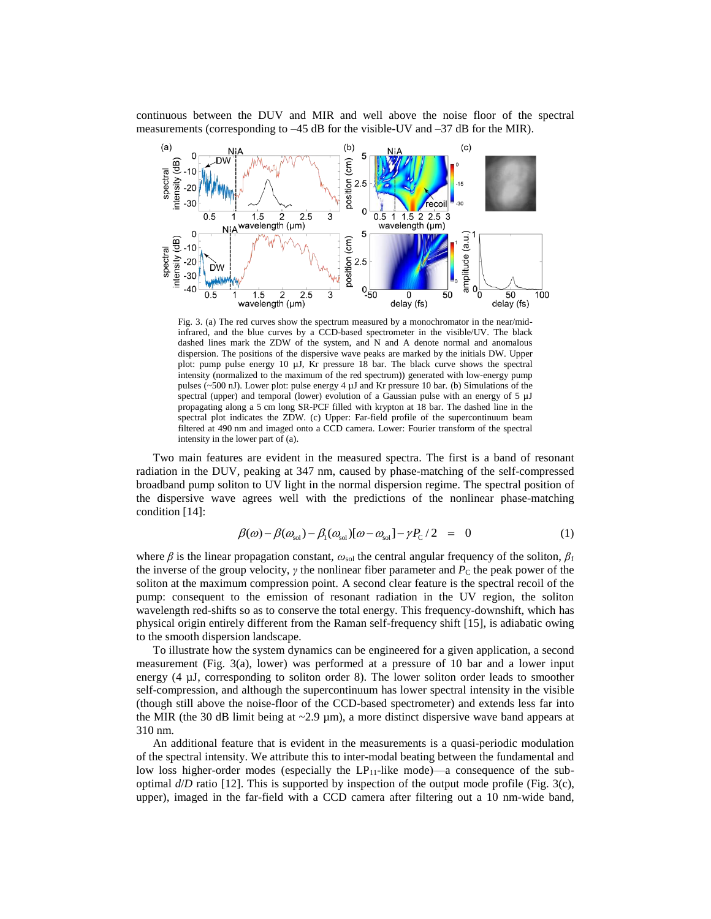continuous between the DUV and MIR and well above the noise floor of the spectral measurements (corresponding to –45 dB for the visible-UV and –37 dB for the MIR).



Fig. 3. (a) The red curves show the spectrum measured by a monochromator in the near/midinfrared, and the blue curves by a CCD-based spectrometer in the visible/UV. The black dashed lines mark the ZDW of the system, and N and A denote normal and anomalous dispersion. The positions of the dispersive wave peaks are marked by the initials DW. Upper plot: pump pulse energy 10 µJ, Kr pressure 18 bar. The black curve shows the spectral intensity (normalized to the maximum of the red spectrum)) generated with low-energy pump pulses ( $\sim$ 500 nJ). Lower plot: pulse energy 4  $\mu$ J and Kr pressure 10 bar. (b) Simulations of the spectral (upper) and temporal (lower) evolution of a Gaussian pulse with an energy of  $5 \mu J$ propagating along a 5 cm long SR-PCF filled with krypton at 18 bar. The dashed line in the spectral plot indicates the ZDW. (c) Upper: Far-field profile of the supercontinuum beam filtered at 490 nm and imaged onto a CCD camera. Lower: Fourier transform of the spectral intensity in the lower part of (a).

Two main features are evident in the measured spectra. The first is a band of resonant radiation in the DUV, peaking at 347 nm, caused by phase-matching of the self-compressed broadband pump soliton to UV light in the normal dispersion regime. The spectral position of the dispersive wave agrees well with the predictions of the nonlinear phase-matching condition [14]:

$$
\beta(\omega) - \beta(\omega_{\rm sol}) - \beta_{\rm l}(\omega_{\rm sol})[\omega - \omega_{\rm sol}] - \gamma P_{\rm C}/2 = 0 \tag{1}
$$

where  $\beta$  is the linear propagation constant,  $\omega_{\text{sol}}$  the central angular frequency of the soliton,  $\beta$ <sup>1</sup> the inverse of the group velocity, *γ* the nonlinear fiber parameter and  $P_c$  the peak power of the soliton at the maximum compression point. A second clear feature is the spectral recoil of the pump: consequent to the emission of resonant radiation in the UV region, the soliton wavelength red-shifts so as to conserve the total energy. This frequency-downshift, which has physical origin entirely different from the Raman self-frequency shift [15], is adiabatic owing to the smooth dispersion landscape.

To illustrate how the system dynamics can be engineered for a given application, a second measurement (Fig. 3(a), lower) was performed at a pressure of 10 bar and a lower input energy (4 µJ, corresponding to soliton order 8). The lower soliton order leads to smoother self-compression, and although the supercontinuum has lower spectral intensity in the visible (though still above the noise-floor of the CCD-based spectrometer) and extends less far into the MIR (the 30 dB limit being at  $\sim$  2.9  $\mu$ m), a more distinct dispersive wave band appears at 310 nm.

An additional feature that is evident in the measurements is a quasi-periodic modulation of the spectral intensity. We attribute this to inter-modal beating between the fundamental and low loss higher-order modes (especially the  $LP_{11}$ -like mode)—a consequence of the suboptimal  $d/D$  ratio [12]. This is supported by inspection of the output mode profile (Fig. 3(c), upper), imaged in the far-field with a CCD camera after filtering out a 10 nm-wide band,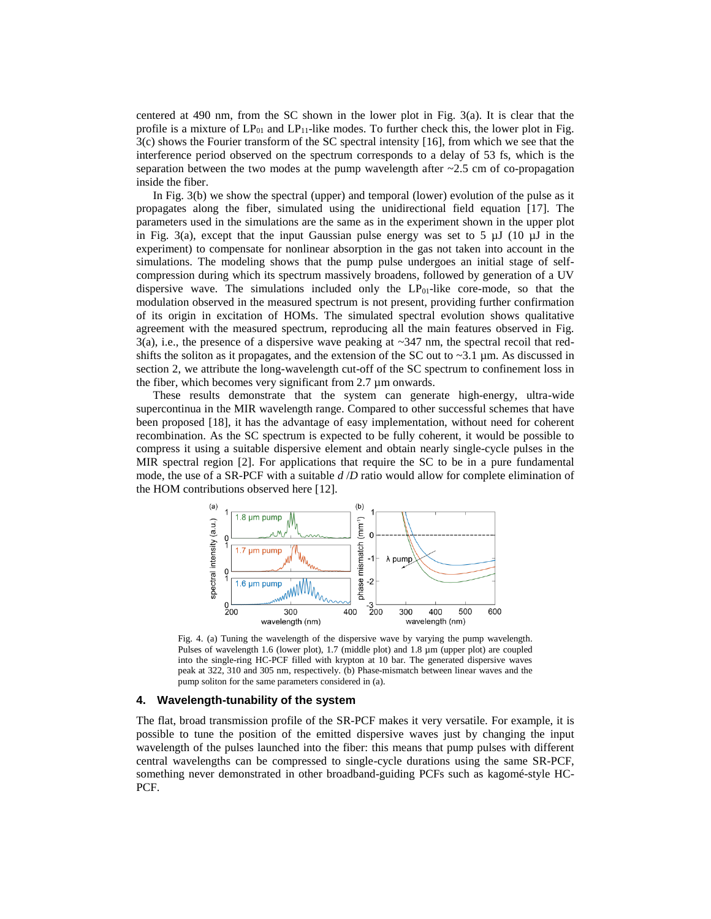centered at 490 nm, from the SC shown in the lower plot in Fig. 3(a). It is clear that the profile is a mixture of  $LP_{01}$  and  $LP_{11}$ -like modes. To further check this, the lower plot in Fig. 3(c) shows the Fourier transform of the SC spectral intensity [16], from which we see that the interference period observed on the spectrum corresponds to a delay of 53 fs, which is the separation between the two modes at the pump wavelength after  $\sim$ 2.5 cm of co-propagation inside the fiber.

In Fig. 3(b) we show the spectral (upper) and temporal (lower) evolution of the pulse as it propagates along the fiber, simulated using the unidirectional field equation [17]. The parameters used in the simulations are the same as in the experiment shown in the upper plot in Fig. 3(a), except that the input Gaussian pulse energy was set to 5  $\mu$ J (10  $\mu$ J in the experiment) to compensate for nonlinear absorption in the gas not taken into account in the simulations. The modeling shows that the pump pulse undergoes an initial stage of selfcompression during which its spectrum massively broadens, followed by generation of a UV dispersive wave. The simulations included only the  $LP_{01}$ -like core-mode, so that the modulation observed in the measured spectrum is not present, providing further confirmation of its origin in excitation of HOMs. The simulated spectral evolution shows qualitative agreement with the measured spectrum, reproducing all the main features observed in Fig.  $3(a)$ , i.e., the presence of a dispersive wave peaking at  $\sim$ 347 nm, the spectral recoil that redshifts the soliton as it propagates, and the extension of the SC out to  $\sim$ 3.1 µm. As discussed in section 2, we attribute the long-wavelength cut-off of the SC spectrum to confinement loss in the fiber, which becomes very significant from 2.7 µm onwards.

These results demonstrate that the system can generate high-energy, ultra-wide supercontinua in the MIR wavelength range. Compared to other successful schemes that have been proposed [18], it has the advantage of easy implementation, without need for coherent recombination. As the SC spectrum is expected to be fully coherent, it would be possible to compress it using a suitable dispersive element and obtain nearly single-cycle pulses in the MIR spectral region [2]. For applications that require the SC to be in a pure fundamental mode, the use of a SR-PCF with a suitable *d* /*D* ratio would allow for complete elimination of the HOM contributions observed here [12].



Fig. 4. (a) Tuning the wavelength of the dispersive wave by varying the pump wavelength. Pulses of wavelength 1.6 (lower plot), 1.7 (middle plot) and 1.8 µm (upper plot) are coupled into the single-ring HC-PCF filled with krypton at 10 bar. The generated dispersive waves peak at 322, 310 and 305 nm, respectively. (b) Phase-mismatch between linear waves and the pump soliton for the same parameters considered in (a).

### **4. Wavelength-tunability of the system**

The flat, broad transmission profile of the SR-PCF makes it very versatile. For example, it is possible to tune the position of the emitted dispersive waves just by changing the input wavelength of the pulses launched into the fiber: this means that pump pulses with different central wavelengths can be compressed to single-cycle durations using the same SR-PCF, something never demonstrated in other broadband-guiding PCFs such as kagomé-style HC-PCF.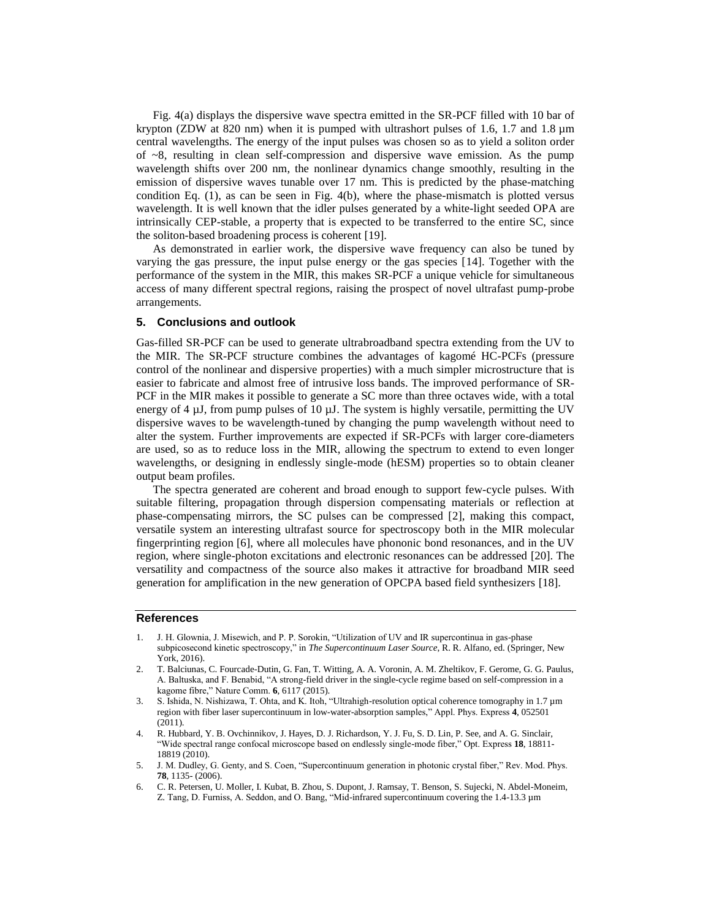Fig. 4(a) displays the dispersive wave spectra emitted in the SR-PCF filled with 10 bar of krypton (ZDW at 820 nm) when it is pumped with ultrashort pulses of 1.6, 1.7 and 1.8 µm central wavelengths. The energy of the input pulses was chosen so as to yield a soliton order of  $\sim$ 8, resulting in clean self-compression and dispersive wave emission. As the pump wavelength shifts over 200 nm, the nonlinear dynamics change smoothly, resulting in the emission of dispersive waves tunable over 17 nm. This is predicted by the phase-matching condition Eq.  $(1)$ , as can be seen in Fig.  $4(b)$ , where the phase-mismatch is plotted versus wavelength. It is well known that the idler pulses generated by a white-light seeded OPA are intrinsically CEP-stable, a property that is expected to be transferred to the entire SC, since the soliton-based broadening process is coherent [19].

As demonstrated in earlier work, the dispersive wave frequency can also be tuned by varying the gas pressure, the input pulse energy or the gas species [14]. Together with the performance of the system in the MIR, this makes SR-PCF a unique vehicle for simultaneous access of many different spectral regions, raising the prospect of novel ultrafast pump-probe arrangements.

#### **5. Conclusions and outlook**

Gas-filled SR-PCF can be used to generate ultrabroadband spectra extending from the UV to the MIR. The SR-PCF structure combines the advantages of kagomé HC-PCFs (pressure control of the nonlinear and dispersive properties) with a much simpler microstructure that is easier to fabricate and almost free of intrusive loss bands. The improved performance of SR-PCF in the MIR makes it possible to generate a SC more than three octaves wide, with a total energy of 4  $\mu$ J, from pump pulses of 10  $\mu$ J. The system is highly versatile, permitting the UV dispersive waves to be wavelength-tuned by changing the pump wavelength without need to alter the system. Further improvements are expected if SR-PCFs with larger core-diameters are used, so as to reduce loss in the MIR, allowing the spectrum to extend to even longer wavelengths, or designing in endlessly single-mode (hESM) properties so to obtain cleaner output beam profiles.

The spectra generated are coherent and broad enough to support few-cycle pulses. With suitable filtering, propagation through dispersion compensating materials or reflection at phase-compensating mirrors, the SC pulses can be compressed [2], making this compact, versatile system an interesting ultrafast source for spectroscopy both in the MIR molecular fingerprinting region [6], where all molecules have phononic bond resonances, and in the UV region, where single-photon excitations and electronic resonances can be addressed [20]. The versatility and compactness of the source also makes it attractive for broadband MIR seed generation for amplification in the new generation of OPCPA based field synthesizers [18].

## **References**

- 1. J. H. Glownia, J. Misewich, and P. P. Sorokin, "Utilization of UV and IR supercontinua in gas-phase subpicosecond kinetic spectroscopy," in *The Supercontinuum Laser Source*, R. R. Alfano, ed. (Springer, New York, 2016).
- 2. T. Balciunas, C. Fourcade-Dutin, G. Fan, T. Witting, A. A. Voronin, A. M. Zheltikov, F. Gerome, G. G. Paulus, A. Baltuska, and F. Benabid, "A strong-field driver in the single-cycle regime based on self-compression in a kagome fibre," Nature Comm. **6**, 6117 (2015).
- 3. S. Ishida, N. Nishizawa, T. Ohta, and K. Itoh, "Ultrahigh-resolution optical coherence tomography in 1.7 µm region with fiber laser supercontinuum in low-water-absorption samples," Appl. Phys. Express **4**, 052501 (2011).
- 4. R. Hubbard, Y. B. Ovchinnikov, J. Hayes, D. J. Richardson, Y. J. Fu, S. D. Lin, P. See, and A. G. Sinclair, "Wide spectral range confocal microscope based on endlessly single-mode fiber," Opt. Express **18**, 18811- 18819 (2010).
- 5. J. M. Dudley, G. Genty, and S. Coen, "Supercontinuum generation in photonic crystal fiber," Rev. Mod. Phys. **78**, 1135- (2006).
- 6. C. R. Petersen, U. Moller, I. Kubat, B. Zhou, S. Dupont, J. Ramsay, T. Benson, S. Sujecki, N. Abdel-Moneim, Z. Tang, D. Furniss, A. Seddon, and O. Bang, "Mid-infrared supercontinuum covering the 1.4-13.3 µm